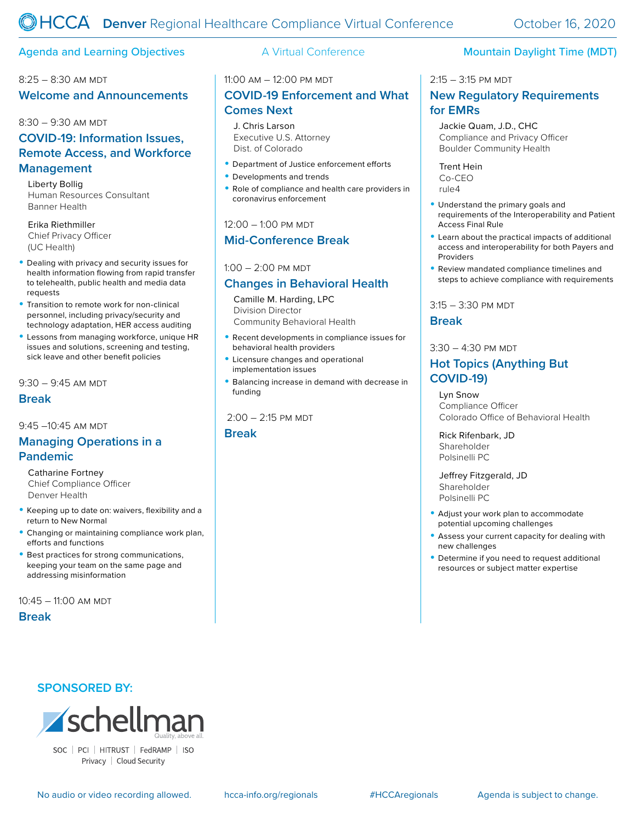## Agenda and Learning Objectives **A** Virtual Conference **Mountain Daylight Time (MDT)**

# 8:25 - 8:30 AM MDT **Welcome and Announcements**

#### 8:30 – 9:30 am mdt

# **COVID-19: Information Issues, Remote Access, and Workforce Management**

Liberty Bollig Human Resources Consultant Banner Health

#### Erika Riethmiller Chief Privacy Officer (UC Health)

- Dealing with privacy and security issues for health information flowing from rapid transfer to telehealth, public health and media data requests
- Transition to remote work for non-clinical personnel, including privacy/security and technology adaptation, HER access auditing
- Lessons from managing workforce, unique HR issues and solutions, screening and testing, sick leave and other benefit policies

 $9:30 - 9:45$  AM MDT

## **Break**

 $9.45 - 10.45$  am mdt

## **Managing Operations in a Pandemic**

Catharine Fortney Chief Compliance Officer Denver Health

- Keeping up to date on: waivers, flexibility and a return to New Normal
- Changing or maintaining compliance work plan, efforts and functions
- Best practices for strong communications, keeping your team on the same page and addressing misinformation

10:45 – 11:00 am mdt

#### **Break**

## **SPONSORED BY:**



Privacy | Cloud Security

## 11:00 am – 12:00 pm mdt

# **COVID-19 Enforcement and What Comes Next**

J. Chris Larson Executive U.S. Attorney Dist. of Colorado

- Department of Justice enforcement efforts
- Developments and trends
- Role of compliance and health care providers in coronavirus enforcement

#### 12:00 - 1:00 PM MDT

## **Mid-Conference Break**

 $1:00 - 2:00$  PM MDT

## **Changes in Behavioral Health**

Camille M. Harding, LPC Division Director Community Behavioral Health

- Recent developments in compliance issues for behavioral health providers
- Licensure changes and operational implementation issues
- Balancing increase in demand with decrease in funding

## $2:00 - 2:15$  PM MDT

**Break**

### 2:15 – 3:15 pm mdt

## **New Regulatory Requirements for EMRs**

Jackie Quam, J.D., CHC Compliance and Privacy Officer Boulder Community Health

Trent Hein Co-CEO rule4

- Understand the primary goals and requirements of the Interoperability and Patient Access Final Rule
- Learn about the practical impacts of additional access and interoperability for both Payers and Providers
- Review mandated compliance timelines and steps to achieve compliance with requirements

 $3:15 - 3:30$  PM MDT

## **Break**

#### $3:30 - 4:30$  PM MDT

## **Hot Topics (Anything But COVID-19)**

Lyn Snow Compliance Officer Colorado Office of Behavioral Health

Rick Rifenbark, JD Shareholder Polsinelli PC

Jeffrey Fitzgerald, JD Shareholder Polsinelli PC

- Adjust your work plan to accommodate potential upcoming challenges
- Assess your current capacity for dealing with new challenges
- Determine if you need to request additional resources or subject matter expertise